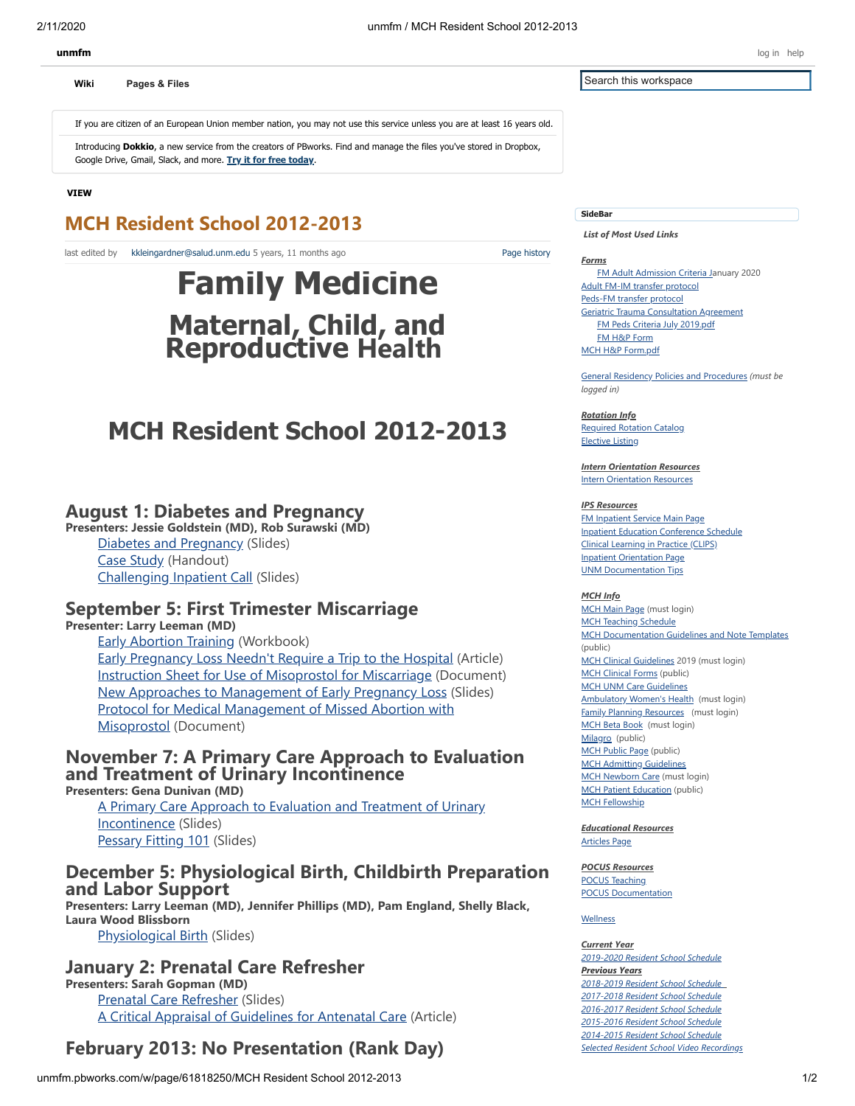**[Wiki](http://unmfm.pbworks.com/w/page/33814686/FrontPage) [Pages & Files](http://unmfm.pbworks.com/w/browse/)**

If you are citizen of an European Union member nation, you may not use this service unless you are at least 16 years old.

Introducing **Dokkio**, a new service from the creators of PBworks. Find and manage the files you've stored in Dropbox, Google Drive, Gmail, Slack, and more. **[Try it for free today](javascript:Messaging.Link({"tracking":"ipm-dokkiobeta200122","dismiss":"no","url":"https://www.dokkio.com/landing-page-pbipm","target":"_blank","id":"168"});)**.

#### **VIEW**

# **MCH Resident School 2012-2013**

last edited by [kkleingardner@salud.unm.edu](javascript:alert() 5 years, 11 months ago

# **Family Medicine Maternal, Child, and Reproductive Health**

# **MCH Resident School 2012-2013**

## **August 1: Diabetes and Pregnancy**

**Presenters: Jessie Goldstein (MD), Rob Surawski (MD)** Diabetes and [Pregnancy](http://unmfm.pbworks.com/w/file/fetch/56514760/Diabetes%20and%20pregnancy.pdf?force_download=1) (Slides) [Case Study](http://unmfm.pbworks.com/w/file/fetch/56514757/CASES%20DM%20version%201.pdf?force_download=1) (Handout) [Challenging](http://unmfm.pbworks.com/w/file/fetch/56514749/Mr%20T.pdf?force_download=1) Inpatient Call (Slides)

## **September 5: First Trimester Miscarriage**

**Presenter: Larry Leeman (MD)**

Early [Abortion](http://unmfm.pbworks.com/w/file/fetch/61966598/EarlyAbortionTrainingWorkbook2012.Ch.8.pdf?force_download=1) Training (Workbook) Early [Pregnancy](http://unmfm.pbworks.com/w/file/fetch/58852632/EPL-JFP.pdf?force_download=1) Loss Needn't Require a Trip to the Hospital (Article) Instruction Sheet for Use of [Misoprostol](http://unmfm.pbworks.com/w/file/fetch/61822044/Miso-patient%20instru.doc?force_download=1) for Miscarriage (Document) [New Approaches to Management of Early Pregnancy Loss](http://unmfm.pbworks.com/w/file/fetch/58852633/EPL-MCHGR9-2012.pdf?force_download=1) (Slides) [Protocol for Medical Management of Missed Abortion with](http://unmfm.pbworks.com/w/file/61822053/MisoMissedAbProtocol.doc) Misoprostol (Document)

## **November 7: A Primary Care Approach to Evaluation and Treatment of Urinary Incontinence**

**Presenters: Gena Dunivan (MD)**

A Primary Care Approach [to Evaluation](http://unmfm.pbworks.com/w/file/fetch/62673900/FM_UI%5B1%5D%5B1%5D.pdf?force_download=1) and Treatment of Urinary Incontinence (Slides) [Pessary](http://unmfm.pbworks.com/w/file/fetch/62672844/pessary_fittings%5B2%5D.pdf?force_download=1) Fitting 101 (Slides)

## **December 5: Physiological Birth, Childbirth Preparation and Labor Support**

**Presenters: Larry Leeman (MD), Jennifer Phillips (MD), Pam England, Shelly Black, Laura Wood Blissborn** [Physiological](http://unmfm.pbworks.com/w/file/fetch/62672848/Physiologic%20Birth%20UNM12-4.pdf?force_download=1) Birth (Slides)

## **January 2: Prenatal Care Refresher**

**Presenters: Sarah Gopman (MD)** Prenatal Care [Refresher](http://unmfm.pbworks.com/w/file/fetch/62672849/PNC%20Refresher--MCH%20Grand%20Rounds%20January%202013.pdf?force_download=1) (Slides) A Critical Appraisal of [Guidelines](http://unmfm.pbworks.com/w/file/fetch/62668269/PNC--J%20of%20Midwifery.pdf?force_download=1) for Antenatal Care (Article)

# **February 2013: No Presentation (Rank Day)**

Search this workspace

#### **SideBar**

 *List of Most Used Links*

#### *Forms*

[Page history](http://unmfm.pbworks.com/w/page-revisions/61818250/MCH%20Resident%20School%202012-2013)

[FM Adult Admission Criteria Ja](http://unmfm.pbworks.com/w/file/138183798/FM%20IPS%20Adult%20admitting%20list-1_2020.pdf)nuary 2020 [Adult FM-IM transfer protocol](http://unmfm.pbworks.com/w/file/118968987/FM-IM%20Transfer%20Agreement%202.2017.pdf) [Peds-FM transfer protocol](http://unmfm.pbworks.com/w/file/126540407/FM-Peds%20Agreement%20July%202016%20Final%5B1%5D%5B1%5D.pdf) [Geriatric Trauma Consultation Agreement](http://unmfm.pbworks.com/w/file/120050163/Trauma-IM-FM-Geri-consults.pdf) [FM Peds Criteria July 2019.pdf](http://unmfm.pbworks.com/w/file/134505189/FM%20Peds%20Criteria%20July%202019.pdf) [FM H&P Form](http://unmfm.pbworks.com/w/file/70360026/FM%20Admission%20Form.pdf) [MCH H&P Form.pdf](http://unmfm.pbworks.com/w/file/88374029/MCH%20H%26P%20Form.pdf)

[General Residency Policies and Procedures](http://unmfm.pbworks.com/w/page/95381795/General%20Residency%20Policies%20and%20Procedures) *(must be logged in)*

*Rotation Info* [Required Rotation Catalog](http://unmfm.pbworks.com/w/page/42004553/Rotation%20Catalogue) [Elective Listing](http://unmfm.pbworks.com/w/page/70945490/Electives%20Listing)

*Intern Orientation Resources* **[Intern Orientation Resources](http://unmfm.pbworks.com/w/page/127037618/2018%20Intern%20Orientation%20Resources)** 

#### *IPS Resources*

[FM Inpatient Service Main Page](http://unmfm.pbworks.com/Inpatient-Service-Main-Page) [Inpatient Education Conference Schedule](http://unmfm.pbworks.com/w/page/50321668/Inpatient%20Education%20Conference%20Schedule) [Clinical Learning in Practice \(CLIPS\)](http://unmfm.pbworks.com/w/page/127368530/CLIPS) [Inpatient Orientation Page](http://unmfm.pbworks.com/w/page/126828389/Inpatient%20Orientation%20Page) [UNM Documentation Tips](http://unmfm.pbworks.com/w/page/138155526/UNM%20Documentation%20Guidelines)

#### *MCH Info*

[MCH Main Page](http://unmfm.pbworks.com/w/page/48807282/MCH%20Main%20Page) (must login) [MCH Teaching Schedule](http://unmfm.pbworks.com/w/page/67316322/MCH%20Teaching%20Schedule) [MCH Documentation Guidelines and Note Templates](http://unmfm.pbworks.com/w/page/123056406/MCH%20Documentation%20Guidelines%20and%20Note%20Templates) (public) [MCH Clinical Guidelines](http://unmfm.pbworks.com/w/file/134399793/MCH%20Guidelines%202019.pdf) 2019 (must login) **[MCH Clinical Forms](http://unmfm.pbworks.com/w/page/64957616/MCH%20Clinical%20Forms)** (public) **[MCH UNM Care Guidelines](http://unmfm.pbworks.com/w/page/120216975/MCH%20UNM%20Care%20Guidelines)** [Ambulatory Women's Health](http://unmfm.pbworks.com/w/page/72826070/Ambulatory%20Women) (must login) [Family Planning Resources](http://unmfm.pbworks.com/w/page/93188682/Family%20Planning-Reproductive%20Health) (must login) [MCH Beta Book](http://unmfm.pbworks.com/w/page/94583924/MCH%20Beta%20Book)  (must login) [Milagro](http://unmfm.pbworks.com/w/page/105368184/Milagro) (public) [MCH Public Page](http://unmfm.pbworks.com/w/page/107880476/MCH%20Public) (public) [MCH Admitting Guidelines](http://unmfm.pbworks.com/w/page/110355577/MCH%20Admitting%20Guidelines%20by%20Clinic) **[MCH Newborn Care](http://unmfm.pbworks.com/w/page/120215712/MCH%20Newborn%20Care)** (must login) [MCH Patient Education](http://unmfm.pbworks.com/w/page/126191276/MCH%20Patient%20Education) (public) [MCH Fellowship](http://unmfm.pbworks.com/w/page/106410147/MCH%20Fellowship%20Main%20Page)

*Educational Resources* [Articles Page](http://unmfm.pbworks.com/w/page/33870330/Articles-%20Main%20Page)

#### *POCUS Resources*

[POCUS Teaching](http://unmfm.pbworks.com/w/page/131806017/POCUS%20Teaching%20Page) [POCUS Documentation](http://unmfm.pbworks.com/w/page/133042650/POCUS%20Documentation)

[Wellness](http://unmfm.pbworks.com/w/page/120069990/Wellness)

*Current Year [2019-2020 Resident School Schedule](http://unmfm.pbworks.com/w/page/132259146/2019-2020%20Resident%20School%20Schedule) [Previous Years](http://unmfm.pbworks.com/w/page/123903531/2018-2019%20Resident%20School%20Schedule) [2018-2019 Resident School Schedule](http://unmfm.pbworks.com/w/page/123903531/2018-2019%20Resident%20School%20Schedule)  [2017-2018 Resident School Schedule](http://unmfm.pbworks.com/w/page/117533979/2017-2018%20Resident%20School%20Schedule) [2016-2017 Resident School Schedule](http://unmfm.pbworks.com/w/page/107624427/2016-2017%20Resident%20School%20Schedule) [2015-2016 Resident School Schedule](http://unmfm.pbworks.com/w/page/95630282/2015-2016%20Resident%20School%20Schedule) [2014-2015 Resident School Schedule](http://unmfm.pbworks.com/w/page/81297767/2014-2015%20Resident%20School%20Schedule) [Selected Resident School Video Recordings](http://hscmediasite.unm.edu/unm/Catalog/pages/catalog.aspx?catalogId=2f11e601-ca31-4b93-aefd-2ef298387430)*